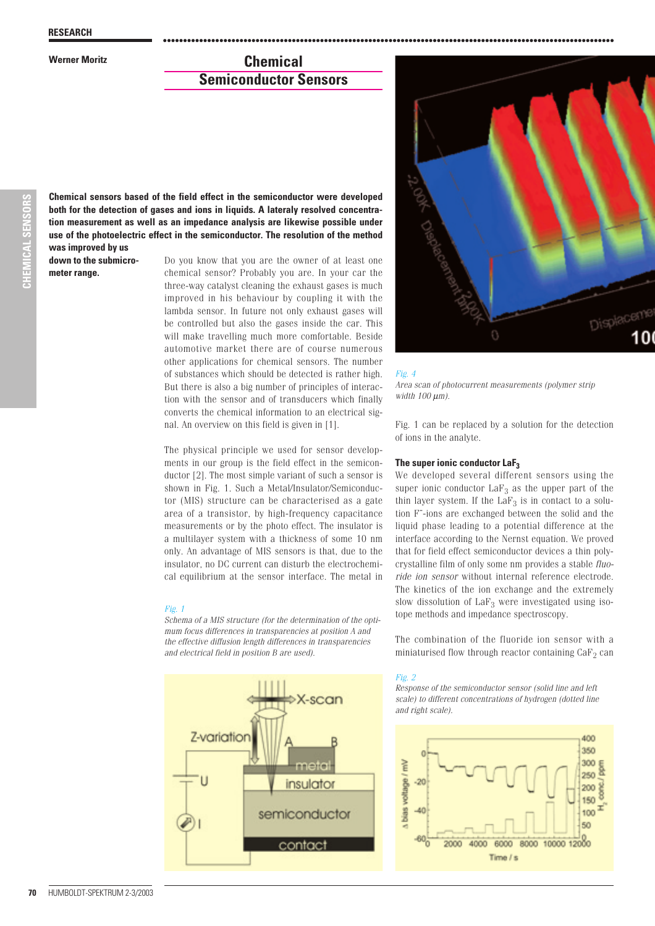# **Werner Moritz Chemical Semiconductor Sensors**

**was improved by us Chemical sensors based of the field effect in the semiconductor were developed both for the detection of gases and ions in liquids. A lateraly resolved concentration measurement as well as an impedance analysis are likewise possible under use of the photoelectric effect in the semiconductor. The resolution of the method**

**down to the submicrometer range.**

Do you know that you are the owner of at least one chemical sensor? Probably you are. In your car the three-way catalyst cleaning the exhaust gases is much improved in his behaviour by coupling it with the lambda sensor. In future not only exhaust gases will be controlled but also the gases inside the car. This will make travelling much more comfortable. Beside automotive market there are of course numerous other applications for chemical sensors. The number of substances which should be detected is rather high. But there is also a big number of principles of interaction with the sensor and of transducers which finally converts the chemical information to an electrical signal. An overview on this field is given in [1].

The physical principle we used for sensor developments in our group is the field effect in the semiconductor [2]. The most simple variant of such a sensor is shown in Fig. 1. Such a Metal/Insulator/Semiconductor (MIS) structure can be characterised as a gate area of a transistor, by high-frequency capacitance measurements or by the photo effect. The insulator is a multilayer system with a thickness of some 10 nm only. An advantage of MIS sensors is that, due to the insulator, no DC current can disturb the electrochemical equilibrium at the sensor interface. The metal in

# *Fig. 1*

*Schema of a MIS structure (for the determination of the optimum focus differences in transparencies at position A and the effective diffusion length differences in transparencies and electrical field in position B are used).*





# *Fig. 4*

................................................................................................................

*Area scan of photocurrent measurements (polymer strip width 100* µ*m).*

Fig. 1 can be replaced by a solution for the detection of ions in the analyte.

# **The super ionic conductor LaF3**

We developed several different sensors using the super ionic conductor  $LaF<sub>3</sub>$  as the upper part of the thin layer system. If the  $LaF<sub>3</sub>$  is in contact to a solution F--ions are exchanged between the solid and the liquid phase leading to a potential difference at the interface according to the Nernst equation. We proved that for field effect semiconductor devices a thin polycrystalline film of only some nm provides a stable *fluoride ion sensor* without internal reference electrode. The kinetics of the ion exchange and the extremely slow dissolution of  $LaF<sub>3</sub>$  were investigated using isotope methods and impedance spectroscopy.

The combination of the fluoride ion sensor with a miniaturised flow through reactor containing  $\text{CaF}_2$  can

# *Fig. 2*

*Response of the semiconductor sensor (solid line and left scale) to different concentrations of hydrogen (dotted line and right scale).*

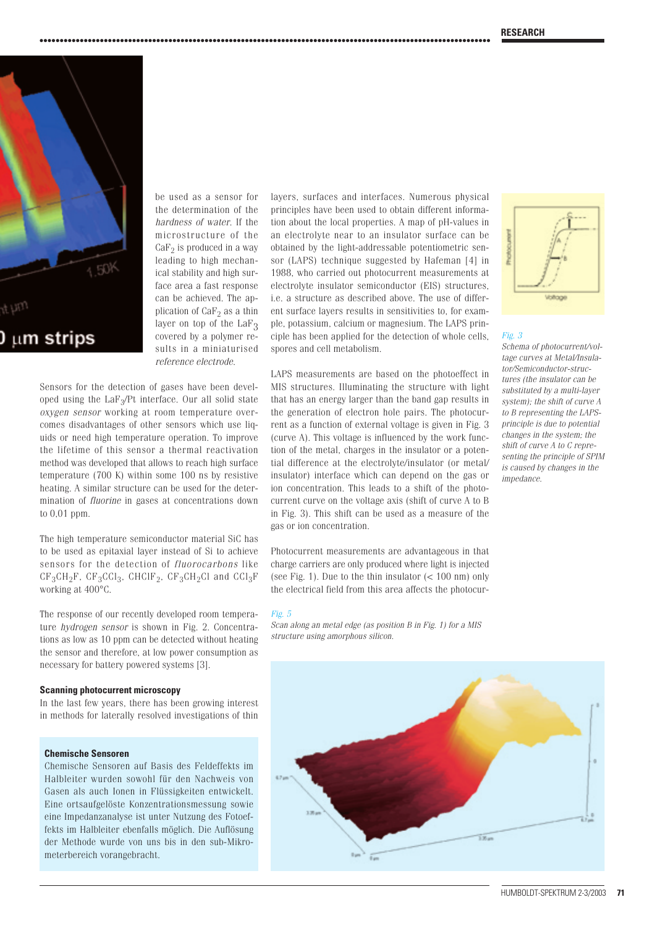

microstructure of the  $CaF<sub>2</sub>$  is produced in a way leading to high mechanical stability and high surface area a fast response can be achieved. The application of  $CaF<sub>2</sub>$  as a thin layer on top of the  $LaF<sub>3</sub>$ covered by a polymer results in a miniaturised *reference electrode*. Sensors for the detection of gases have been devel-

be used as a sensor for the determination of the *hardness of water*. If the

................................................................................................................

oped using the  $LaF<sub>3</sub>/Pt$  interface. Our all solid state *oxygen sensor* working at room temperature overcomes disadvantages of other sensors which use liquids or need high temperature operation. To improve the lifetime of this sensor a thermal reactivation method was developed that allows to reach high surface temperature (700 K) within some 100 ns by resistive heating. A similar structure can be used for the determination of *fluorine* in gases at concentrations down to 0,01 ppm.

The high temperature semiconductor material SiC has to be used as epitaxial layer instead of Si to achieve sensors for the detection of *fluorocarbons* like  $CF_3CH_2F$ ,  $CF_3CCl_3$ ,  $CHClF_2$ ,  $CF_3CH_2Cl$  and  $CCl_3F$ working at 400°C.

The response of our recently developed room temperature *hydrogen sensor* is shown in Fig. 2. Concentrations as low as 10 ppm can be detected without heating the sensor and therefore, at low power consumption as necessary for battery powered systems [3].

# **Scanning photocurrent microscopy**

In the last few years, there has been growing interest in methods for laterally resolved investigations of thin

# **Chemische Sensoren**

Chemische Sensoren auf Basis des Feldeffekts im Halbleiter wurden sowohl für den Nachweis von Gasen als auch Ionen in Flüssigkeiten entwickelt. Eine ortsaufgelöste Konzentrationsmessung sowie eine Impedanzanalyse ist unter Nutzung des Fotoeffekts im Halbleiter ebenfalls möglich. Die Auflösung der Methode wurde von uns bis in den sub-Mikrometerbereich vorangebracht.

layers, surfaces and interfaces. Numerous physical principles have been used to obtain different information about the local properties. A map of pH-values in an electrolyte near to an insulator surface can be obtained by the light-addressable potentiometric sensor (LAPS) technique suggested by Hafeman [4] in 1988, who carried out photocurrent measurements at electrolyte insulator semiconductor (EIS) structures, i.e. a structure as described above. The use of different surface layers results in sensitivities to, for example, potassium, calcium or magnesium. The LAPS principle has been applied for the detection of whole cells, spores and cell metabolism.

LAPS measurements are based on the photoeffect in MIS structures. Illuminating the structure with light that has an energy larger than the band gap results in the generation of electron hole pairs. The photocurrent as a function of external voltage is given in Fig. 3 (curve A). This voltage is influenced by the work function of the metal, charges in the insulator or a potential difference at the electrolyte/insulator (or metal/ insulator) interface which can depend on the gas or ion concentration. This leads to a shift of the photocurrent curve on the voltage axis (shift of curve A to B in Fig. 3). This shift can be used as a measure of the gas or ion concentration.

Photocurrent measurements are advantageous in that charge carriers are only produced where light is injected (see Fig. 1). Due to the thin insulator  $\left($  < 100 nm) only the electrical field from this area affects the photocur-

#### *Fig. 5*

*Scan along an metal edge (as position B in Fig. 1) for a MIS structure using amorphous silicon.*





#### *Fig. 3*

*Schema of photocurrent/voltage curves at Metal/Insulator/Semiconductor-structures (the insulator can be substituted by a multi-layer system); the shift of curve A to B representing the LAPSprinciple is due to potential changes in the system; the shift of curve A to C representing the principle of SPIM is caused by changes in the impedance.*